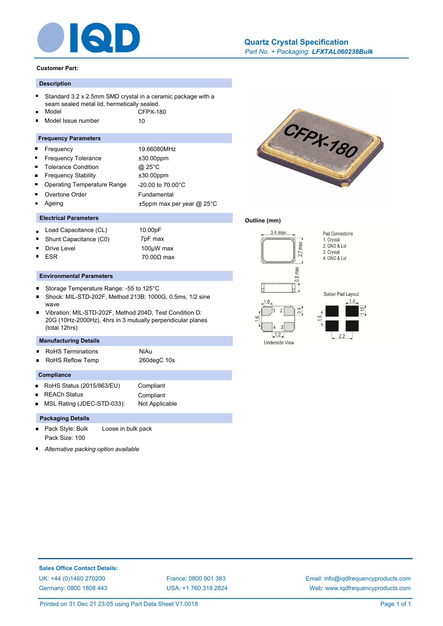

#### **Customer Part:**

## **Description**

- Standard 3.2 x 2.5mm SMD crystal in a ceramic package with a seam sealed metal lid, hermetically sealed.
- Model CFPX-180 Model Issue number 10
- ř.

#### **Frequency Parameters**

- Frequency 19.66080MHz  $\blacksquare$  $\blacksquare$ Frequency Tolerance  $\pm 30.00$ ppm  $\blacksquare$ Tolerance Condition @ 25°C Frequency Stability ±30.00ppm É Operating Temperature Range -20.00 to 70.00°C Overtone Order Fundamental
- Ageing t5ppm max per year @ 25°C

## **Electrical Parameters**

- Load Capacitance (CL) 10.00pF
- Shunt Capacitance (C0) 7pF max
- Drive Level 2000 100µW max ESR 70.00Ω max

#### **Environmental Parameters**

- $\blacksquare$ Storage Temperature Range: -55 to 125°C
- Shock: MIL-STD-202F, Method 213B: 1000G, 0.5ms, 1/2 sine wave
- Vibration: MIL-STD-202F, Method 204D, Test Condition D: 20G (10Hz-2000Hz), 4hrs in 3 mutually perpendicular planes (total 12hrs)

### **Manufacturing Details**

- RoHS Terminations **NiAu**
- RoHS Reflow Temp 260degC 10s

#### **Compliance**

- RoHS Status (2015/863/EU) Compliant
- REACh Status Compliant

MSL Rating (JDEC-STD-033): Not Applicable

## **Packaging Details**

- Pack Style: Bulk Loose in bulk pack Pack Size: 100
- *Alternative packing option available*



#### **Outline (mm)**







Pad Connections 1. Crystal

2. GND & Lid 3. Crystal 4. GND & Lid

**Sales Office Contact Details:** [UK: +44 \(0\)1460 270200](http://www.iqdfrequencyproducts.co.uk) [France: 0800 901 383](http://www.iqdfrequencyproducts.fr) [Germany: 0800 1808 443](http://www.iqdfrequencyproducts.de)

[USA: +1.760.318.2824](http://www.iqdfrequencyproducts.com)

[Email: info@iqdfrequencyproducts.com](mailto:info@iqdfrequencyproducts.com) [Web: www.iqdfrequencyproducts.com](http://www.iqdfrequencyproducts.com)